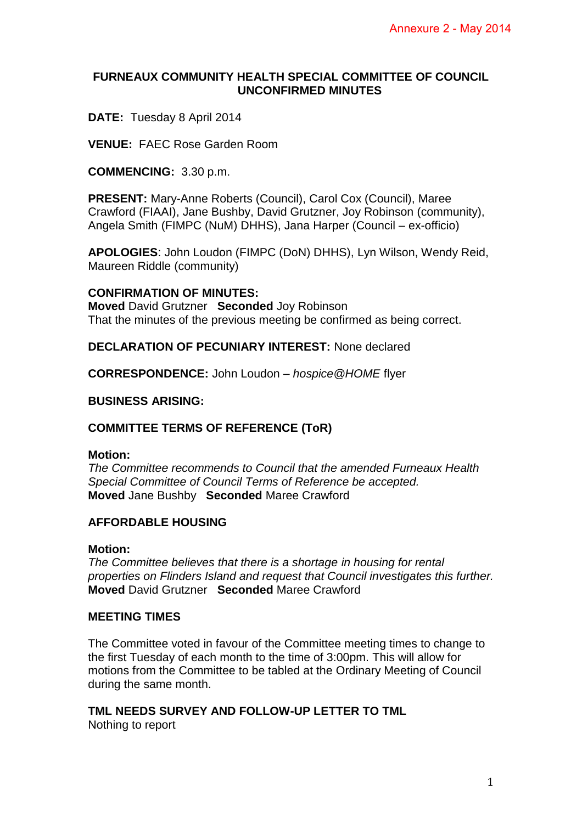### **FURNEAUX COMMUNITY HEALTH SPECIAL COMMITTEE OF COUNCIL UNCONFIRMED MINUTES**

# **DATE:** Tuesday 8 April 2014

**VENUE:** FAEC Rose Garden Room

**COMMENCING:** 3.30 p.m.

**PRESENT:** Mary-Anne Roberts (Council), Carol Cox (Council), Maree Crawford (FIAAI), Jane Bushby, David Grutzner, Joy Robinson (community), Angela Smith (FIMPC (NuM) DHHS), Jana Harper (Council – ex-officio)

**APOLOGIES**: John Loudon (FIMPC (DoN) DHHS), Lyn Wilson, Wendy Reid, Maureen Riddle (community)

### **CONFIRMATION OF MINUTES:**

**Moved** David Grutzner **Seconded** Joy Robinson That the minutes of the previous meeting be confirmed as being correct.

**DECLARATION OF PECUNIARY INTEREST:** None declared

**CORRESPONDENCE:** John Loudon – *hospice@HOME* flyer

**BUSINESS ARISING:** 

# **COMMITTEE TERMS OF REFERENCE (ToR)**

### **Motion:**

*The Committee recommends to Council that the amended Furneaux Health Special Committee of Council Terms of Reference be accepted.*  **Moved** Jane Bushby **Seconded** Maree Crawford

# **AFFORDABLE HOUSING**

### **Motion:**

*The Committee believes that there is a shortage in housing for rental properties on Flinders Island and request that Council investigates this further.*  **Moved** David Grutzner **Seconded** Maree Crawford

### **MEETING TIMES**

The Committee voted in favour of the Committee meeting times to change to the first Tuesday of each month to the time of 3:00pm. This will allow for motions from the Committee to be tabled at the Ordinary Meeting of Council during the same month.

**TML NEEDS SURVEY AND FOLLOW-UP LETTER TO TML** 

Nothing to report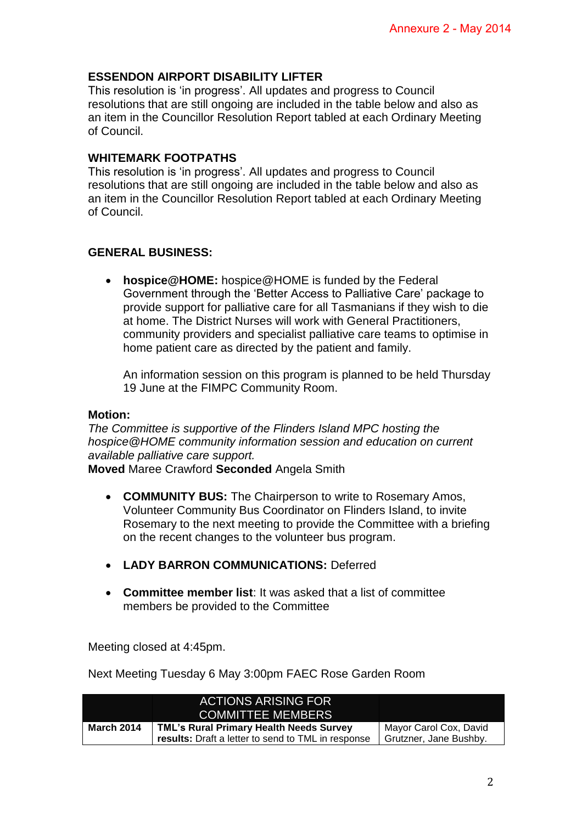## **ESSENDON AIRPORT DISABILITY LIFTER**

This resolution is 'in progress'. All updates and progress to Council resolutions that are still ongoing are included in the table below and also as an item in the Councillor Resolution Report tabled at each Ordinary Meeting of Council.

### **WHITEMARK FOOTPATHS**

This resolution is 'in progress'. All updates and progress to Council resolutions that are still ongoing are included in the table below and also as an item in the Councillor Resolution Report tabled at each Ordinary Meeting of Council.

### **GENERAL BUSINESS:**

 **hospice@HOME:** hospice@HOME is funded by the Federal Government through the 'Better Access to Palliative Care' package to provide support for palliative care for all Tasmanians if they wish to die at home. The District Nurses will work with General Practitioners, community providers and specialist palliative care teams to optimise in home patient care as directed by the patient and family.

An information session on this program is planned to be held Thursday 19 June at the FIMPC Community Room.

#### **Motion:**

*The Committee is supportive of the Flinders Island MPC hosting the hospice@HOME community information session and education on current available palliative care support.* 

**Moved** Maree Crawford **Seconded** Angela Smith

- **COMMUNITY BUS:** The Chairperson to write to Rosemary Amos, Volunteer Community Bus Coordinator on Flinders Island, to invite Rosemary to the next meeting to provide the Committee with a briefing on the recent changes to the volunteer bus program.
- **LADY BARRON COMMUNICATIONS:** Deferred
- **Committee member list**: It was asked that a list of committee members be provided to the Committee

Meeting closed at 4:45pm.

Next Meeting Tuesday 6 May 3:00pm FAEC Rose Garden Room

|                   | <b>ACTIONS ARISING FOR</b>                         |                        |
|-------------------|----------------------------------------------------|------------------------|
|                   | <b>COMMITTEE MEMBERS</b>                           |                        |
| <b>March 2014</b> | <b>TML's Rural Primary Health Needs Survey</b>     | Mayor Carol Cox, David |
|                   | results: Draft a letter to send to TML in response | Grutzner, Jane Bushby. |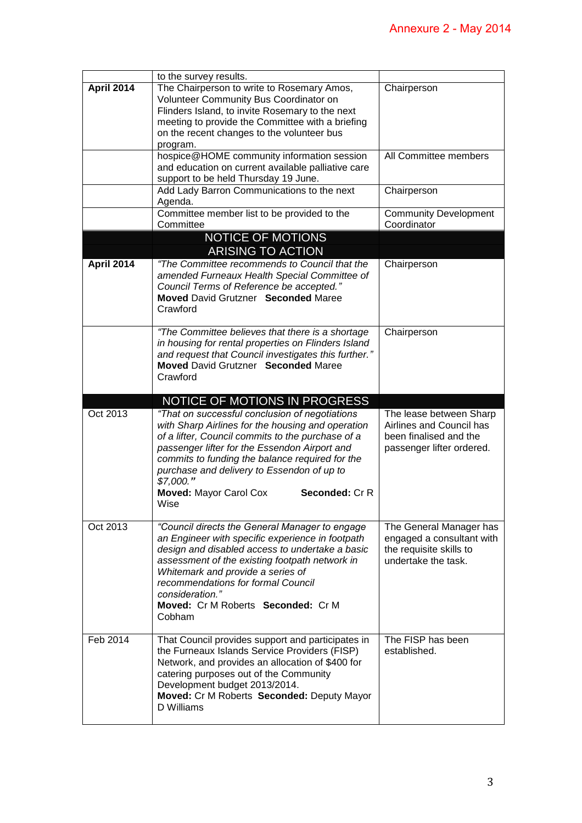|                   | to the survey results.                                                                                                                                                                                                                                                                                                                                                             |                                                                                                            |
|-------------------|------------------------------------------------------------------------------------------------------------------------------------------------------------------------------------------------------------------------------------------------------------------------------------------------------------------------------------------------------------------------------------|------------------------------------------------------------------------------------------------------------|
| <b>April 2014</b> | The Chairperson to write to Rosemary Amos,<br>Volunteer Community Bus Coordinator on<br>Flinders Island, to invite Rosemary to the next<br>meeting to provide the Committee with a briefing<br>on the recent changes to the volunteer bus<br>program.                                                                                                                              | Chairperson                                                                                                |
|                   | hospice@HOME community information session<br>and education on current available palliative care<br>support to be held Thursday 19 June.                                                                                                                                                                                                                                           | All Committee members                                                                                      |
|                   | Add Lady Barron Communications to the next<br>Agenda.                                                                                                                                                                                                                                                                                                                              | Chairperson                                                                                                |
|                   | Committee member list to be provided to the<br>Committee                                                                                                                                                                                                                                                                                                                           | <b>Community Development</b><br>Coordinator                                                                |
|                   | NOTICE OF MOTIONS<br><b>ARISING TO ACTION</b>                                                                                                                                                                                                                                                                                                                                      |                                                                                                            |
| <b>April 2014</b> | "The Committee recommends to Council that the<br>amended Furneaux Health Special Committee of<br>Council Terms of Reference be accepted."<br><b>Moved David Grutzner Seconded Maree</b><br>Crawford                                                                                                                                                                                | Chairperson                                                                                                |
|                   | "The Committee believes that there is a shortage<br>in housing for rental properties on Flinders Island<br>and request that Council investigates this further."<br><b>Moved David Grutzner Seconded Maree</b><br>Crawford                                                                                                                                                          | Chairperson                                                                                                |
|                   | NOTICE OF MOTIONS IN PROGRESS                                                                                                                                                                                                                                                                                                                                                      |                                                                                                            |
|                   |                                                                                                                                                                                                                                                                                                                                                                                    |                                                                                                            |
| Oct 2013          | "That on successful conclusion of negotiations<br>with Sharp Airlines for the housing and operation<br>of a lifter, Council commits to the purchase of a<br>passenger lifter for the Essendon Airport and<br>commits to funding the balance required for the<br>purchase and delivery to Essendon of up to<br>\$7,000."<br><b>Moved: Mayor Carol Cox</b><br>Seconded: Cr R<br>Wise | The lease between Sharp<br>Airlines and Council has<br>been finalised and the<br>passenger lifter ordered. |
| Oct 2013          | "Council directs the General Manager to engage<br>an Engineer with specific experience in footpath<br>design and disabled access to undertake a basic<br>assessment of the existing footpath network in<br>Whitemark and provide a series of<br>recommendations for formal Council<br>consideration."<br>Moved: Cr M Roberts Seconded: Cr M<br>Cobham                              | The General Manager has<br>engaged a consultant with<br>the requisite skills to<br>undertake the task.     |